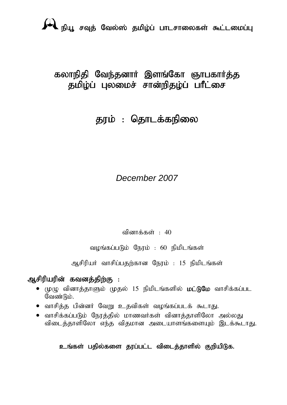# கலாநிதி வேந்தனார் இளங்கோ ஞாபகார்த்த தமிழ்ப் புலமைச் சான்றிதழ்ப் பாீட்சை

# தரம் : தொடக்கநிலை

# *December 2007*

வினாக்கள் :  $40$ 

வழங்கப்படும் நேரம் : 60 நிமிடங்கள்

அசிரியர் வாசிப்பதற்கான நேரம் : 15 நிமிடங்கள்

# ஆசிரியரின் கவனத்திற்கு :

- $\bullet$  (முழு வினாத்தாளும் முதல் 15 நிமிடங்களில் **மட்டுமே** வாசிக்கப்பட வேண்டும்.
- வாசித்த பின்னர் வேறு உதவிகள் வழங்கப்படக் கூடாது.
- வாசிக்கப்படும் நோக்கில் மாணவர்கள் வினாக்காளிலோ அல்லகு விடைத்தாளிலோ எந்த விதமான அடையாளங்களையும் இடக்கூடாது.

## உங்கள் பதில்களை தரப்பட்ட விடைத்தாளில் குறியிடுக.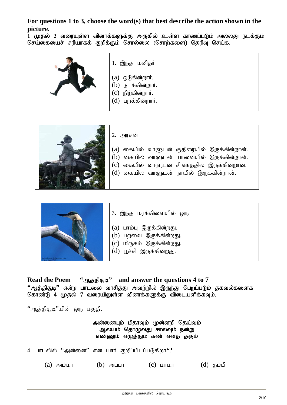**For questions 1 to 3, choose the word(s) that best describe the action shown in the picture.** 

\_<br>1 முதல் 3 வரையுள்ள வினாக்களுக்கு அருகில் உள்ள காணப்படும் அல்லது நடக்கும் செய்கையைச் சரியாகக் குறிக்கும் சொல்லை (சொற்களை) தெரிவு செய்க.







- 3. இந்த மரக்கிளையில் ஒரு
- $(a)$  பாம்பு இருக்கின்றது.
- $(b)$  பறவை இருக்கின்றது.
- $(c)$  மிருகம் இருக்கின்றது.
- $(d)$  பூச்சி இருக்கின்றது.

**Read the Poem** " $\omega$  is  $\omega$ " and answer the questions 4 to 7  $``$ ஆத்திதூடி'' என்ற பாடலை வாசித்து அவற்றில் இருந்து பெறப்படும் தகவல்களைக் கொண்டு 4 முதல் 7 வரையிலுள்ள வினாக்களுக்கு விடையளிக்கவும்.

"ஆத்திசூடி"யின் ஒரு பகுதி.

#### அன்னையும் பிதாவும் முன்னறி தெய்வம் ஆலயம் தொழுவது சாலவும் நன்று எண்ணும் எழுத்தும் கண் எனத் தகும்

4. பாடலில் ''அன்னை'' என யார் குறிப்பிடப்படுகிறார்?

(a)  $\Rightarrow$  (b)  $\Rightarrow$  (c)  $\Rightarrow$  (c)  $\Rightarrow$  (d)  $\Rightarrow$  (d)  $\Rightarrow$  (d)  $\Rightarrow$  (d)  $\Rightarrow$  (d)  $\Rightarrow$  (d)  $\Rightarrow$  (d)  $\Rightarrow$  (d)  $\Rightarrow$  (d)  $\Rightarrow$  (d)  $\Rightarrow$  (d)  $\Rightarrow$  (d)  $\Rightarrow$  (d)  $\Rightarrow$  (d)  $\Rightarrow$  (d)  $\Rightarrow$  (d)  $\Rightarrow$  (d)  $\Rightarrow$  (d)  $\Rightarrow$  (d)  $\Rightarrow$  (d)  $\Rightarrow$  (d)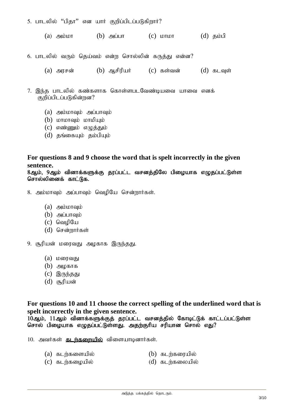- 5. பாடலில் "பிதா" என யார் குறிப்பிடப்படுகிறார்?
	- $(a)$  அம்மா  $(b)$  அப்பா  $(c)$  மாமா  $(d)$  தம்பி
- 6. பாடலில் வரும் தெய்வம் என்ற சொல்லின் கருத்து என்ன?
	- (a) அரசன்  $\qquad$  (b) ஆசிரியா்  $\qquad$  (c) கள்வன்  $\qquad$  (d) கடவுள்
- 7. இந்த பாடலில் கண்களாக கொள்ளபடவேண்டியவை யாவை எனக் குறிப்பிடப்படுகின்றன?
	- $(a)$  அம்மாவும் அப்பாவும்
	- $(b)$  **LOTILOT** controlled to  $\theta$
	- $(c)$  எண்ணும் எழுத்தும்
	- $(d)$  தங்கையும் தம்பியும்

### **For questions 8 and 9 choose the word that is spelt incorrectly in the given sentence.**

8ஆம், 9ஆம் வினாக்களுக்கு தூப்பட்ட வசனத்திலே பிமையாக எழுதப்பட்டுள்ள சொல்லினைக் காட்டுக.

- 8. அம்மாவும் அப்பாவும் வெழியே சென்றார்கள்.
	- $(a)$  அம்மாவும்
	- $(b)$  அப்பாவும்
	- $(c)$  வெமியே
	- (d) சென்றார்கள்
- 9. சூரியன் மரைவது அழகாக இருந்தது.
	- $(a)$   $L$   $\omega$  $\omega$  $\Delta$
	- $(b)$  அழகாக
	- $(c)$  இருந்தது
	- $(d)$  சூரியன்

**For questions 10 and 11 choose the correct spelling of the underlined word that is spelt incorrectly in the given sentence.** 

 $10$ ஆம்,  $11$ ஆம் வினாக்களுக்குத் தரப்பட்ட வசனத்தில் கோடிட்டுக் காட்டப்பட்டுள்ள சொல் பிழையாக எழுதப்பட்டுள்ளது. அதற்குரிய சரியான சொல் எது?

 $10.$  அவர்கள் **கடர்களையில்** விளையாடினார்கள்.

- $(a)$  கடற்களையில்  $(b)$  கடற்கரையில்
- $(c)$  கடர்கழையில்  $(d)$  கடர்கலையில்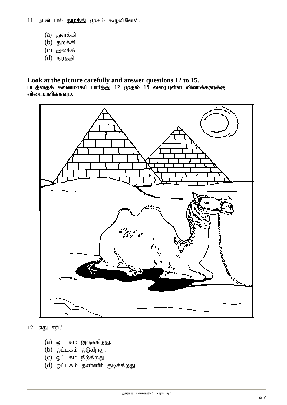11. நான் பல் துழக்கி முகம் கழுவினேன்.

- $(a)$  துளக்கி
- $(b)$  துறக்கி
- $(c)$  துலக்கி
- $(d)$  துரத்தி

#### **Look at the picture carefully and answer questions 12 to 15.**  படத்தைக் கவனமாகப் பார்த்து 12 முதல் 15 வரையுள்ள வினாக்களுக்கு விடையளிக்கவும்.



12. எது சரி?

- $(a)$  ஒட்டகம் இருக்கிறது.
- $(b)$  ஒட்டகம் ஓடுகிறது.
- $(c)$  ஒட்டகம் நிற்கிறது.
- $(d)$  ஒட்டகம் தண்ணீர் குடிக்கிறது.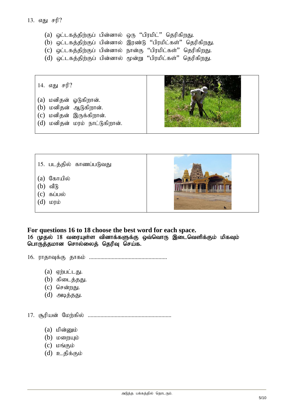#### 13. எது சரி?

- (a) ஒட்டகத்திற்குப் பின்னால் ஒரு "பிரமிட்" தெரிகிறது.
- $(b)$  ஒட்டகத்திற்குப் பின்னால் இரண்டு "பிரமிட்கள்" தெரிகிறது.
- (c) ஒட்டகத்திற்குப் பின்னால் நான்கு "பிரமிட்கள்" தெரிகிறது.
- $(d)$  ஒட்டகத்திற்குப் பின்னால் மூன்று "பிரமிட்கள்" தெரிகிறது.

14. எது சரி?

- $(a)$  மனிதன் ஓடுகிறான்.
- $(b)$  மனிதன் ஆடுகிறான்.
- $(c)$  மனிதன் இருக்கிறான்.
- $(d)$  மனிதன் மரம் நாட்டுகிறான்.



- 15. படத்தில் காணப்படுவது
- $(a)$  கோயில்
- $(b)$  வீடு
- $(c)$  கப்பல்
- $(d)$  to  $\overline{u}$



**For questions 16 to 18 choose the best word for each space.**  16 (முதல் 18 வரையுள்ள வினாக்களுக்கு ஒவ்வொரு இடைவெளிக்கும் மிகவும் பொருத்தமான சொல்லைத் தெரிவு செய்க.

- 16. uhjhTf;F jhfk; .......................................................
	- $(a)$  ஏற்பட்டது.
	- $(b)$  கிடைத்தது.
	- $(c)$  சென்றது.
	- $(d)$  அடித்தது.

17. #upad; Nkw;fpy; ...........................................................

- $(a)$  மின்னும்
- $(b)$   $L$   $\omega$   $m$   $m$
- $(c)$   $L$ றங்கும்
- $(d)$  உதிக்கும்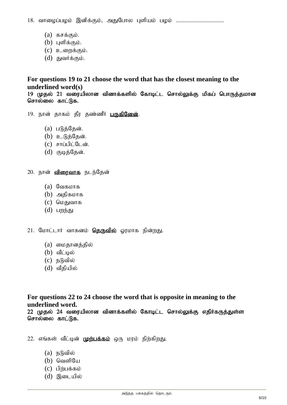18. வாழைப்பழம் இனிக்கும், அதுபோல புளியம் பழம் ..................................

- $(a)$   $55565$
- $(b)$  புளிக்கும்.
- $(c)$  **p** com $\ddot{o}$ .
- $(d)$  துவர்க்கும்.

### **For questions 19 to 21 choose the word that has the closest meaning to the underlined word(s)**

19 முதல் 21 வரையிலான வினாக்களில் கோடிட்ட சொல்லுக்கு மிகப் பொருத்தமான சொல்லை காட்டுக.

- 19. நான் தாகம் தீர தண்ணீர் **பருகினேன்**.
	- $(a)$  படுத்தேன்.
	- $(b)$  உடுத்தேன்.
	- $(c)$  சாப்பிட்டேன்.
	- $(d)$  குடித்தேன்.
- 20. நான் **விரைவாக** நடந்தேன்
	- $(a)$  வேகமாக
	- $(b)$  அதிகமாக
	- $(c)$  மெதுவாக
	- $(d)$   $\Box$

21. மோட்டார் வாகனம் **தொவில்** ஓரமாக நின்றது.

- (a) மைதானத்தில்
- $(b)$  வீட்டில்
- $(c)$  நடுவில்
- $(d)$  வீதியில்

**For questions 22 to 24 choose the word that is opposite in meaning to the underlined word.** 

22 முதல் 24 வரையிலான வினாக்களில் கோடிட்ட சொல்லுக்கு எதிர்கருத்துள்ள சொல்லை காட்டுக.

22. எங்கள் வீட்டின் முற்பக்கம் ஒரு மரம் நிற்கிறது.

- $(a)$  நடுவில்
- $(b)$  வெளியே
- $(c)$  பிற்பக்கம்
- $(d)$  இடையில்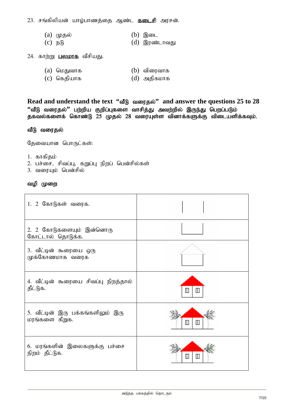23. சங்கிலியன் யாழ்பாணத்தை ஆண்ட **கடைசி** அரசன்.

- (a) முதல்  $($ b) இடை
- (c) நடு  $(d)$  இரண்டாவது
- 24. காற்று **பலமாக** வீசியது.
	- ் (a) மெதுவாக (b) விரைவாக<br>(c) கெதியாக (d) அதிகமாக
	- $(c)$  கெதியாக

Read and understand the text "oll" all answer the questions 25 to 28 "வீடு வரைதல்'' பற்றிய குறிப்புகளை வாசித்து அவற்றில் இருந்து பெறப்படும் தகவல்களைக் கொண்டு 25 முதல் 28 வரையுள்ள வினாக்களுக்கு விடையளிக்கவும்.

### வீடு வரைதல்

கேவையான பொருட்கள்:

- 1. காகிதம்
- 2. பச்சை, சிவப்பு, கறுப்பு நிறப் பென்சில்கள்
- 3. வரையும் பென்சில்

### வழி முறை

| 1. 2 கோடுகள் வரைக.                            |                |
|-----------------------------------------------|----------------|
| 2. 2 கோடுகளையும் இன்னொரு<br>கோட்டால் தொடுக்க. |                |
| 3. வீட்டின் கூரையை ஒரு<br>முக்கோணமாக வரைக     |                |
| 4. வீட்டின் கூரையை சிவப்பு நிறத்தால்          | M              |
| தீட்டுக.                                      | ℿ              |
| 5. வீட்டின் இரு பக்கங்களிலும் இரு             | M              |
| மரங்களை கீறுக.                                | $\mathbb T$    |
| 6. மரங்களின் இலைகளுக்கு பச்சை                 | $\blacksquare$ |
| நிறம் தீட்டுக.                                | Ш              |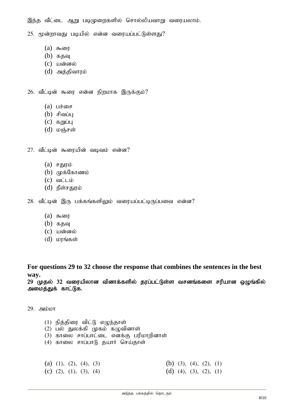இந்த வீட்டை ஆறு படிமுறைகளில் சொல்லியவாறு வரையலாம்.

 $25.$  மூன்றாவது படியில் என்ன வரையப்பட்டுள்ளது?

- $(a)$  கூரை
- $(b)$   $\sigma$
- $(c)$  யன்னல்
- $(d)$  அக்கிவாரம்

 $26.$  வீட்டின் கூரை என்ன நிறமாக இருக்கும்?

- (a)  $\mu \dot{\theta}$
- $(b)$  சிவப்பு
- $(c)$  கறுப்பு
- $(d)$  மஞ்சள்
- $27.$  வீட்டின் கூரையின் வடிவம் என்ன?
	- $(a)$  சதுரம்
	- $(b)$  ( $\mu$ க்கோணம்
	- $(c)$  வட்டம்
	- $(d)$   $\mathbb{R}$ ள்சகுரம்

 $28.$  வீட்டின் இரு பக்கங்களிலும் வரையப்பட்டிருப்பவை என்ன?

- $(a)$  கூரை
- $(b)$   $550$
- $(c)$  யன்னல்
- $(d)$  மரங்கள்

**For questions 29 to 32 choose the response that combines the sentences in the best way.** 

 $29$  (முதல்  $32$  வரையிலான வினாக்களில் தரப்பட்டுள்ள வசனங்களை சரியான ஒழுங்கில் அமைத்துக் காட்டுக.

 $29.$   $\Rightarrow$   $\uparrow$   $\uparrow$ 

- $(1)$  நித்திரை விட்டு எழுந்தாள்
- $(2)$  பல் துலக்கி முகம் கழுவினாள்
- $(3)$  காலை சாப்பாட்டை எனக்கு பரிமாறினாள்
- $(4)$  காலை சாப்பாடு தயார் செய்தாள்

|  | (a) (1), (2), (4), (3) |  | (b) (3), (4), (2), (1) |  |
|--|------------------------|--|------------------------|--|
|  | (c) (2), (1), (3), (4) |  | (d) (4), (3), (2), (1) |  |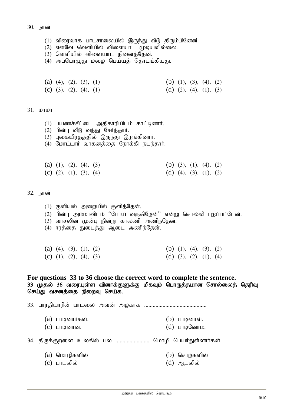- $(1)$  விரைவாக பாடசாலையில் இருந்து வீடு திரும்பினேன்.
- $(2)$  எனவே வெளியில் விளையாட முடியவில்லை.
- $(3)$  வெளியில் விளையாட நினைத்தேன்.
- $(4)$  அப்பொமுது மழை பெய்யத் தொடங்கியது.

|  | (a) (4), (2), (3), (1) |  |  | (b) (1), (3), (4), (2) |  |
|--|------------------------|--|--|------------------------|--|
|  | (c) (3), (2), (4), (1) |  |  | (d) (2), (4), (1), (3) |  |

#### $31.$   $h$ orior

- $(1)$  பயணச்சீட்டை அதிகாரியிடம் காட்டினார்.
- $(2)$  பின்பு வீடு வந்து சேர்ந்தார்.
- $(3)$  புகையிரதத்தில் இருந்து இறங்கினார்.
- (4) மோட்டார் வாகனத்தை நோக்கி நடந்தார்.

|  | (a) (1), (2), (4), (3) |  | (b) (3), (1), (4), (2) |  |  |
|--|------------------------|--|------------------------|--|--|
|  | (c) (2), (1), (3), (4) |  | (d) (4), (3), (1), (2) |  |  |

32. நான்

- $(1)$  குளியல் அறையில் குளித்தேன்.
- $(2)$  பின்ப அம்மாவிடம் "போய் வருகிறேன்" என்று சொல்லி புறப்பட்டேன்.
- (3) வாசலின் முன்பு நின்று காலணி அணிந்தேன்.
- (4) ஈரத்தை துடைத்து ஆடை அணிந்தேன்.

|  | (a) (4), (3), (1), (2) |  |  | (b) (1), (4), (3), (2) |  |
|--|------------------------|--|--|------------------------|--|
|  | (c) (1), (2), (4), (3) |  |  | (d) (3), (2), (1), (4) |  |

#### **For questions 33 to 36 choose the correct word to complete the sentence.**  33 முதல் 36 வரையுள்ள வினாக்குளுக்கு மிகவும் பொருத்தமான சொல்லைத் தெரிவு செய்து வசனத்தை நிறைவு செய்க.

33. ghujpahupd; ghliy mtd; mofhf ............................................

- (a) பாடினார்கள்.  $\qquad \qquad$   $\qquad$   $\qquad$   $\qquad$   $\qquad$   $\qquad$   $\qquad$   $\qquad$   $\qquad$   $\qquad$   $\qquad$   $\qquad$   $\qquad$   $\qquad$   $\qquad$   $\qquad$   $\qquad$   $\qquad$   $\qquad$   $\qquad$   $\qquad$   $\qquad$   $\qquad$   $\qquad$   $\qquad$   $\qquad$   $\qquad$   $\qquad$   $\qquad$   $\qquad$   $\qquad$   $\qquad$   $\qquad$   $\$
- $(c)$  பாடினான். (d) பாடினோம்.
- 34. திருக்குறளை உலகில் பல ......................... மொழி பெயர்துள்ளார்கள்
	- (a) மொழிகளில் (b) சொற்களில்
	- $(c)$  பாடலில் (d) ஆடலில்